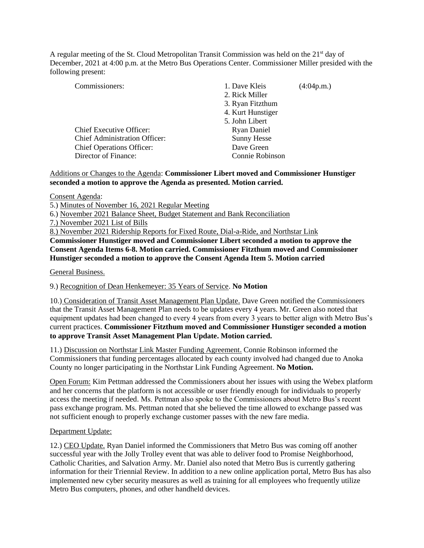A regular meeting of the St. Cloud Metropolitan Transit Commission was held on the  $21<sup>st</sup>$  day of December, 2021 at 4:00 p.m. at the Metro Bus Operations Center. Commissioner Miller presided with the following present:

| Commissioners:                       | 1. Dave Kleis      | (4:04p.m.) |
|--------------------------------------|--------------------|------------|
|                                      | 2. Rick Miller     |            |
|                                      | 3. Ryan Fitzthum   |            |
|                                      | 4. Kurt Hunstiger  |            |
|                                      | 5. John Libert     |            |
| Chief Executive Officer:             | <b>Ryan Daniel</b> |            |
| <b>Chief Administration Officer:</b> | <b>Sunny Hesse</b> |            |
| <b>Chief Operations Officer:</b>     | Dave Green         |            |
| Director of Finance:                 | Connie Robinson    |            |

## Additions or Changes to the Agenda: **Commissioner Libert moved and Commissioner Hunstiger seconded a motion to approve the Agenda as presented. Motion carried.**

Consent Agenda:

5.) Minutes of November 16, 2021 Regular Meeting

6.) November 2021 Balance Sheet, Budget Statement and Bank Reconciliation

7.) November 2021 List of Bills

8.) November 2021 Ridership Reports for Fixed Route, Dial-a-Ride, and Northstar Link

**Commissioner Hunstiger moved and Commissioner Libert seconded a motion to approve the Consent Agenda Items 6-8. Motion carried. Commissioner Fitzthum moved and Commissioner Hunstiger seconded a motion to approve the Consent Agenda Item 5. Motion carried**

General Business.

9.) Recognition of Dean Henkemeyer: 35 Years of Service. **No Motion**

10.) Consideration of Transit Asset Management Plan Update. Dave Green notified the Commissioners that the Transit Asset Management Plan needs to be updates every 4 years. Mr. Green also noted that equipment updates had been changed to every 4 years from every 3 years to better align with Metro Bus's current practices. **Commissioner Fitzthum moved and Commissioner Hunstiger seconded a motion to approve Transit Asset Management Plan Update. Motion carried.**

11.) Discussion on Northstar Link Master Funding Agreement. Connie Robinson informed the Commissioners that funding percentages allocated by each county involved had changed due to Anoka County no longer participating in the Northstar Link Funding Agreement. **No Motion.**

Open Forum: Kim Pettman addressed the Commissioners about her issues with using the Webex platform and her concerns that the platform is not accessible or user friendly enough for individuals to properly access the meeting if needed. Ms. Pettman also spoke to the Commissioners about Metro Bus's recent pass exchange program. Ms. Pettman noted that she believed the time allowed to exchange passed was not sufficient enough to properly exchange customer passes with the new fare media.

## Department Update:

12.) CEO Update. Ryan Daniel informed the Commissioners that Metro Bus was coming off another successful year with the Jolly Trolley event that was able to deliver food to Promise Neighborhood, Catholic Charities, and Salvation Army. Mr. Daniel also noted that Metro Bus is currently gathering information for their Triennial Review. In addition to a new online application portal, Metro Bus has also implemented new cyber security measures as well as training for all employees who frequently utilize Metro Bus computers, phones, and other handheld devices.